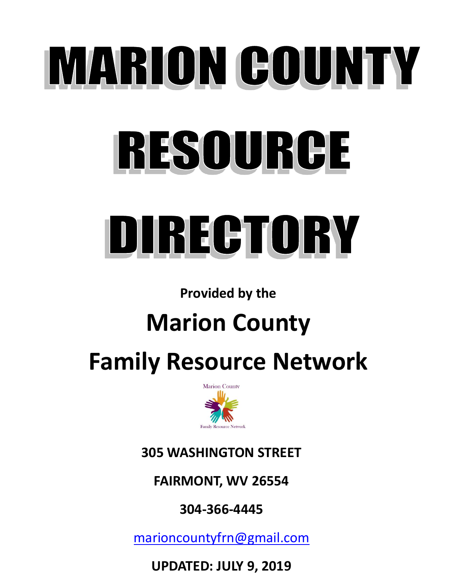# MARION GOUNTY

# RESOURGE

## DIREGTORY

**Provided by the** 

## **Marion County**

## **Family Resource Network**



## **305 WASHINGTON STREET**

**FAIRMONT, WV 26554**

**304-366-4445**

[marioncountyfrn@gmail.com](mailto:marioncountyfrn@gmail.com)

**UPDATED: JULY 9, 2019**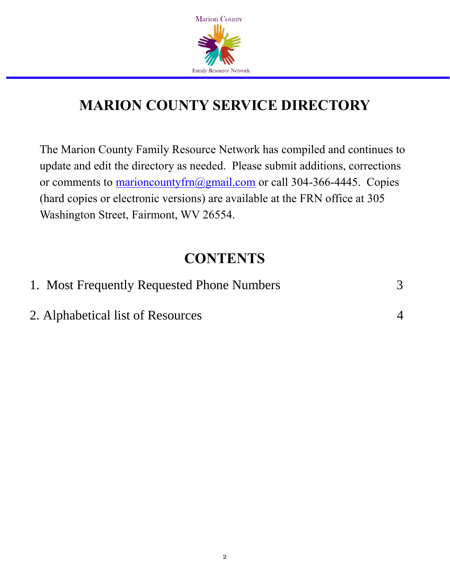

## **MARION COUNTY SERVICE DIRECTORY**

The Marion County Family Resource Network has compiled and continues to update and edit the directory as needed. Please submit additions, corrections or comments to [marioncountyfrn@gmail.com](mailto:marioncountyfrn@gmail.com) or call 304-366-4445. Copies (hard copies or electronic versions) are available at the FRN office at 305 Washington Street, Fairmont, WV 26554.

## **CONTENTS**

| 1. Most Frequently Requested Phone Numbers |  |
|--------------------------------------------|--|
| 2. Alphabetical list of Resources          |  |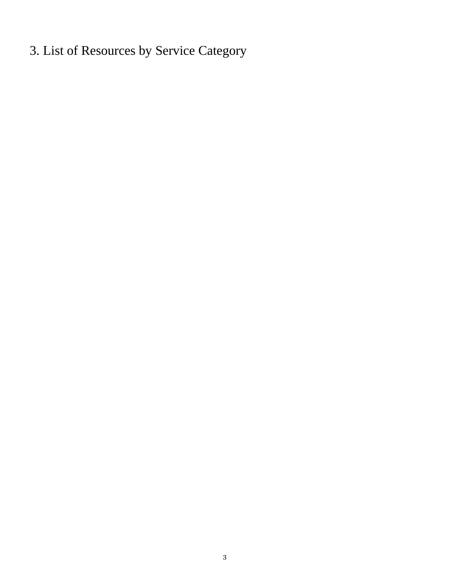3. List of Resources by Service Category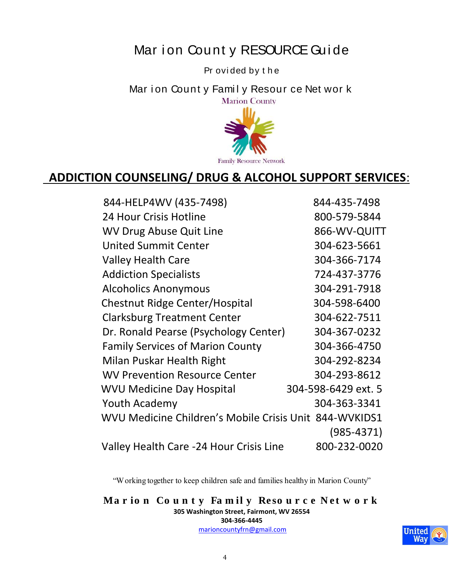# Marion County RESOURCE Guide  $unt$   $y$   $RESO$ <br>Pr ovided by t he

Mar ion Count y RESOURCE Guide<br>Provided by the<br>Marion Count y Famil y Resour ce Net wor k



### **ADDICTION COUNSELING/ DRUG & ALCOHOL SUPPORT SERVICES**:

| 844-HELP4WV (435-7498)                                 | 844-435-7498        |
|--------------------------------------------------------|---------------------|
| 24 Hour Crisis Hotline                                 | 800-579-5844        |
| <b>WV Drug Abuse Quit Line</b>                         | 866-WV-QUITT        |
| <b>United Summit Center</b>                            | 304-623-5661        |
| <b>Valley Health Care</b>                              | 304-366-7174        |
| <b>Addiction Specialists</b>                           | 724-437-3776        |
| <b>Alcoholics Anonymous</b>                            | 304-291-7918        |
| Chestnut Ridge Center/Hospital                         | 304-598-6400        |
| <b>Clarksburg Treatment Center</b>                     | 304-622-7511        |
| Dr. Ronald Pearse (Psychology Center)                  | 304-367-0232        |
| <b>Family Services of Marion County</b>                | 304-366-4750        |
| Milan Puskar Health Right                              | 304-292-8234        |
| <b>WV Prevention Resource Center</b>                   | 304-293-8612        |
| <b>WVU Medicine Day Hospital</b>                       | 304-598-6429 ext. 5 |
| <b>Youth Academy</b>                                   | 304-363-3341        |
| WVU Medicine Children's Mobile Crisis Unit 844-WVKIDS1 |                     |
|                                                        | $(985 - 4371)$      |
| Valley Health Care -24 Hour Crisis Line                | 800-232-0020        |

"Working together to keep children safe and families healthy in Marion County"

Marion County Family Resource Network **305 Washington Street, Fairmont, WV 26554**

**304-366-4445**

marioncountyfrn@gmail.com

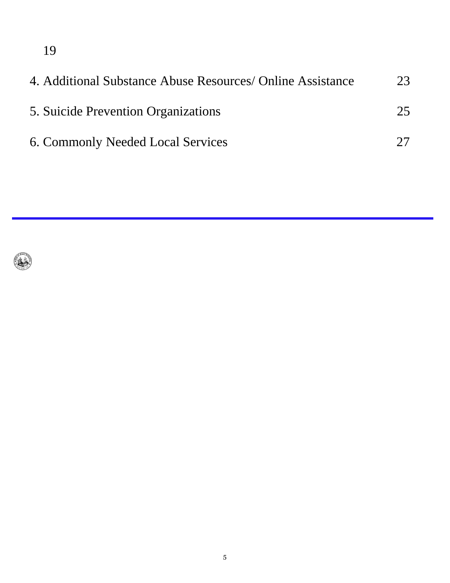### 19

| 4. Additional Substance Abuse Resources/ Online Assistance | 23 |
|------------------------------------------------------------|----|
| 5. Suicide Prevention Organizations                        | 25 |
| 6. Commonly Needed Local Services                          |    |

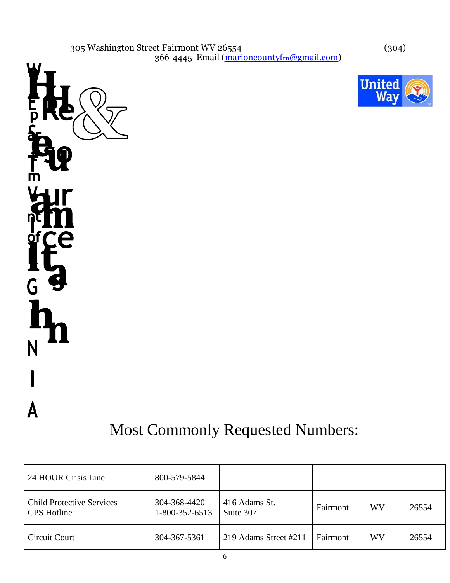305 Washington Street Fairmont WV 26554 (304) 366-4445 Email [\(marioncountyf](mailto:marioncountyfrn@gmail.com)rn@gmail.com)





## Most Commonly Requested Numbers:

| 24 HOUR Crisis Line                                    | 800-579-5844                   |                            |          |           |       |
|--------------------------------------------------------|--------------------------------|----------------------------|----------|-----------|-------|
| <b>Child Protective Services</b><br><b>CPS</b> Hotline | 304-368-4420<br>1-800-352-6513 | 416 Adams St.<br>Suite 307 | Fairmont | <b>WV</b> | 26554 |
| <b>Circuit Court</b>                                   | 304-367-5361                   | 219 Adams Street #211      | Fairmont | <b>WV</b> | 26554 |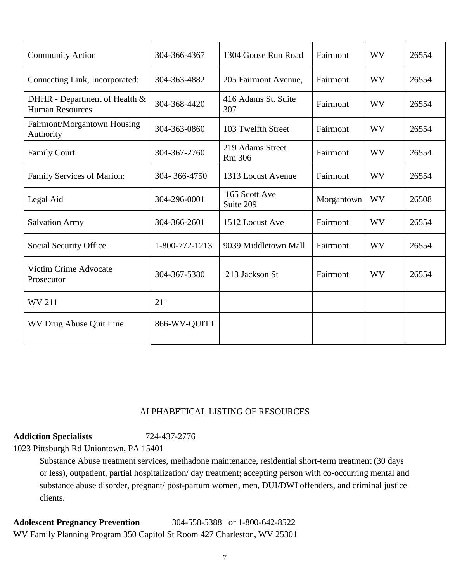| <b>Community Action</b>                                 | 304-366-4367   | 1304 Goose Run Road        | Fairmont   | <b>WV</b> | 26554 |
|---------------------------------------------------------|----------------|----------------------------|------------|-----------|-------|
| Connecting Link, Incorporated:                          | 304-363-4882   | 205 Fairmont Avenue,       | Fairmont   | <b>WV</b> | 26554 |
| DHHR - Department of Health &<br><b>Human Resources</b> | 304-368-4420   | 416 Adams St. Suite<br>307 | Fairmont   | <b>WV</b> | 26554 |
| Fairmont/Morgantown Housing<br>Authority                | 304-363-0860   | 103 Twelfth Street         | Fairmont   | <b>WV</b> | 26554 |
| <b>Family Court</b>                                     | 304-367-2760   | 219 Adams Street<br>Rm 306 | Fairmont   | <b>WV</b> | 26554 |
| Family Services of Marion:                              | 304-366-4750   | 1313 Locust Avenue         | Fairmont   | <b>WV</b> | 26554 |
| Legal Aid                                               | 304-296-0001   | 165 Scott Ave<br>Suite 209 | Morgantown | <b>WV</b> | 26508 |
| <b>Salvation Army</b>                                   | 304-366-2601   | 1512 Locust Ave            | Fairmont   | <b>WV</b> | 26554 |
| Social Security Office                                  | 1-800-772-1213 | 9039 Middletown Mall       | Fairmont   | <b>WV</b> | 26554 |
| Victim Crime Advocate<br>Prosecutor                     | 304-367-5380   | 213 Jackson St             | Fairmont   | <b>WV</b> | 26554 |
| <b>WV 211</b>                                           | 211            |                            |            |           |       |
| WV Drug Abuse Quit Line                                 | 866-WV-QUITT   |                            |            |           |       |

#### ALPHABETICAL LISTING OF RESOURCES

#### **Addiction Specialists** 724-437-2776

#### 1023 Pittsburgh Rd Uniontown, PA 15401

Substance Abuse treatment services, methadone maintenance, residential short-term treatment (30 days or less), outpatient, partial hospitalization/ day treatment; accepting person with co-occurring mental and substance abuse disorder, pregnant/ post-partum women, men, DUI/DWI offenders, and criminal justice clients.

| <b>Adolescent Pregnancy Prevention</b>                                  | 304-558-5388 or 1-800-642-8522 |
|-------------------------------------------------------------------------|--------------------------------|
| WV Family Planning Program 350 Capitol St Room 427 Charleston, WV 25301 |                                |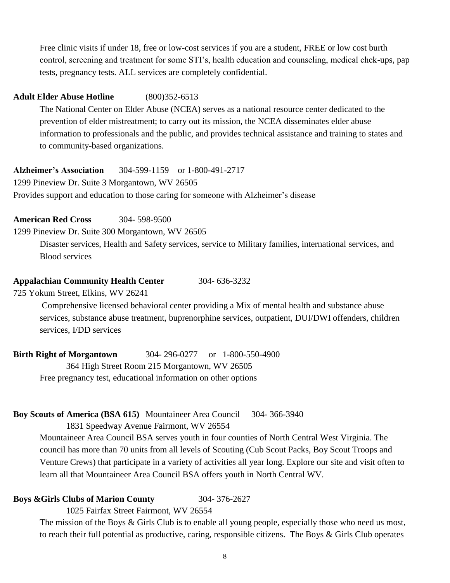Free clinic visits if under 18, free or low-cost services if you are a student, FREE or low cost burth control, screening and treatment for some STI's, health education and counseling, medical chek-ups, pap tests, pregnancy tests. ALL services are completely confidential.

#### **Adult Elder Abuse Hotline** (800)352-6513

The National Center on Elder Abuse (NCEA) serves as a national resource center dedicated to the prevention of elder mistreatment; to carry out its mission, the NCEA disseminates elder abuse information to professionals and the public, and provides technical assistance and training to states and to community-based organizations.

#### **Alzheimer's Association** 304-599-1159 or 1-800-491-2717

1299 Pineview Dr. Suite 3 Morgantown, WV 26505

Provides support and education to those caring for someone with Alzheimer's disease

#### **American Red Cross** 304- 598-9500

1299 Pineview Dr. Suite 300 Morgantown, WV 26505

Disaster services, Health and Safety services, service to Military families, international services, and Blood services

#### Appalachian Community Health Center 304-636-3232

725 Yokum Street, Elkins, WV 26241

Comprehensive licensed behavioral center providing a Mix of mental health and substance abuse services, substance abuse treatment, buprenorphine services, outpatient, DUI/DWI offenders, children services, I/DD services

**Birth Right of Morgantown** 304- 296-0277 or 1-800-550-4900 364 High Street Room 215 Morgantown, WV 26505 Free pregnancy test, educational information on other options

#### **Boy Scouts of America (BSA 615)** Mountaineer Area Council 304- 366-3940

1831 Speedway Avenue Fairmont, WV 26554

Mountaineer Area Council BSA serves youth in four counties of North Central West Virginia. The council has more than 70 units from all levels of Scouting (Cub Scout Packs, Boy Scout Troops and Venture Crews) that participate in a variety of activities all year long. Explore our site and visit often to learn all that Mountaineer Area Council BSA offers youth in North Central WV.

#### **Boys &Girls Clubs of Marion County** 304-376-2627

1025 Fairfax Street Fairmont, WV 26554

The mission of the Boys & Girls Club is to enable all young people, especially those who need us most, to reach their full potential as productive, caring, responsible citizens. The Boys & Girls Club operates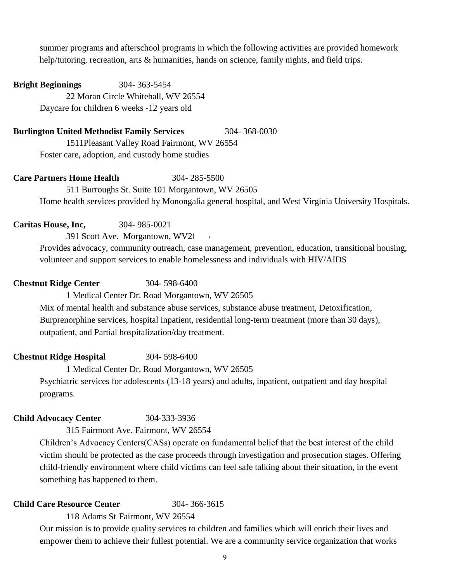summer programs and afterschool programs in which the following activities are provided homework help/tutoring, recreation, arts & humanities, hands on science, family nights, and field trips.

**Bright Beginnings** 304- 363-5454 22 Moran Circle Whitehall, WV 26554 Daycare for children 6 weeks -12 years old

#### **Burlington United Methodist Family Services** 304- 368-0030 1511Pleasant Valley Road Fairmont, WV 26554 Foster care, adoption, and custody home studies

#### **Care Partners Home Health** 304- 285-5500

511 Burroughs St. Suite 101 Morgantown, WV 26505 Home health services provided by Monongalia general hospital, and West Virginia University Hospitals.

#### **Caritas House, Inc,** 304- 985-0021

391 Scott Ave. Morgantown, WV2t

Provides advocacy, community outreach, case management, prevention, education, transitional housing, volunteer and support services to enable homelessness and individuals with HIV/AIDS

**Chestnut Ridge Center** 304-598-6400

1 Medical Center Dr. Road Morgantown, WV 26505

Mix of mental health and substance abuse services, substance abuse treatment, Detoxification, Burprenorphine services, hospital inpatient, residential long-term treatment (more than 30 days), outpatient, and Partial hospitalization/day treatment.

**Chestnut Ridge Hospital** 304- 598-6400

1 Medical Center Dr. Road Morgantown, WV 26505

Psychiatric services for adolescents (13-18 years) and adults, inpatient, outpatient and day hospital programs.

#### **Child Advocacy Center** 304-333-3936

315 Fairmont Ave. Fairmont, WV 26554

Children's Advocacy Centers(CASs) operate on fundamental belief that the best interest of the child victim should be protected as the case proceeds through investigation and prosecution stages. Offering child-friendly environment where child victims can feel safe talking about their situation, in the event something has happened to them.

#### **Child Care Resource Center** 304-366-3615

118 Adams St Fairmont, WV 26554

Our mission is to provide quality services to children and families which will enrich their lives and empower them to achieve their fullest potential. We are a community service organization that works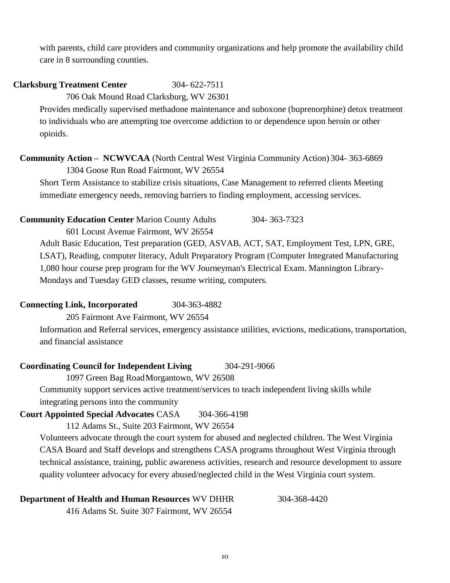with parents, child care providers and community organizations and help promote the availability child care in 8 surrounding counties.

#### **Clarksburg Treatment Center** 304-622-7511

706 Oak Mound Road Clarksburg, WV 26301

Provides medically supervised methadone maintenance and suboxone (buprenorphine) detox treatment to individuals who are attempting toe overcome addiction to or dependence upon heroin or other opioids.

#### **Community Action – NCWVCAA** (North Central West Virginia Community Action) 304- 363-6869 1304 Goose Run Road Fairmont, WV 26554

Short Term Assistance to stabilize crisis situations, Case Management to referred clients Meeting immediate emergency needs, removing barriers to finding employment, accessing services.

| 304-363-7323                                                                                    |
|-------------------------------------------------------------------------------------------------|
|                                                                                                 |
| Adult Basic Education, Test preparation (GED, ASVAB, ACT, SAT, Employment Test, LPN, GRE,       |
| LSAT), Reading, computer literacy, Adult Preparatory Program (Computer Integrated Manufacturing |
| 1,080 hour course prep program for the WV Journeyman's Electrical Exam. Mannington Library-     |
| Mondays and Tuesday GED classes, resume writing, computers.                                     |
|                                                                                                 |

#### **Connecting Link, Incorporated** 304-363-4882

205 Fairmont Ave Fairmont, WV 26554

Information and Referral services, emergency assistance utilities, evictions, medications, transportation, and financial assistance

#### **Coordinating Council for Independent Living** 304-291-9066

1097 Green Bag RoadMorgantown, WV 26508

Community support services active treatment/services to teach independent living skills while integrating persons into the community

#### **Court Appointed Special Advocates** CASA 304-366-4198

112 Adams St., Suite 203 Fairmont, WV 26554

Volunteers advocate through the court system for abused and neglected children. The West Virginia CASA Board and Staff develops and strengthens CASA programs throughout West Virginia through technical assistance, training, public awareness activities, research and resource development to assure quality volunteer advocacy for every abused/neglected child in the West Virginia court system.

| <b>Department of Health and Human Resources WV DHHR</b> | 304-368-4420 |
|---------------------------------------------------------|--------------|
| 416 Adams St. Suite 307 Fairmont, WV 26554              |              |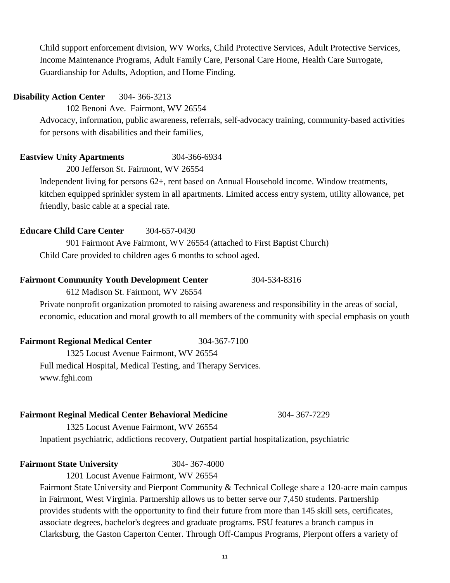Child support enforcement division, WV Works, Child Protective Services, Adult Protective Services, Income Maintenance Programs, Adult Family Care, Personal Care Home, Health Care Surrogate, Guardianship for Adults, Adoption, and Home Finding.

#### **Disability Action Center** 304-366-3213

102 Benoni Ave. Fairmont, WV 26554

Advocacy, information, public awareness, referrals, self-advocacy training, community-based activities for persons with disabilities and their families,

#### **Eastview Unity Apartments** 304-366-6934

200 Jefferson St. Fairmont, WV 26554

Independent living for persons 62+, rent based on Annual Household income. Window treatments, kitchen equipped sprinkler system in all apartments. Limited access entry system, utility allowance, pet friendly, basic cable at a special rate.

#### **Educare Child Care Center** 304-657-0430

901 Fairmont Ave Fairmont, WV 26554 (attached to First Baptist Church) Child Care provided to children ages 6 months to school aged.

#### **Fairmont Community Youth Development Center** 304-534-8316

612 Madison St. Fairmont, WV 26554

Private nonprofit organization promoted to raising awareness and responsibility in the areas of social, economic, education and moral growth to all members of the community with special emphasis on youth

#### **Fairmont Regional Medical Center** 304-367-7100

1325 Locust Avenue Fairmont, WV 26554 Full medical Hospital, Medical Testing, and Therapy Services. www.fghi.com

#### **Fairmont Reginal Medical Center Behavioral Medicine** 304- 367-7229

1325 Locust Avenue Fairmont, WV 26554

Inpatient psychiatric, addictions recovery, Outpatient partial hospitalization, psychiatric

#### **Fairmont State University** 304-367-4000

1201 Locust Avenue Fairmont, WV 26554

Fairmont State University and Pierpont Community & Technical College share a 120-acre main campus in Fairmont, West Virginia. Partnership allows us to better serve our 7,450 students. Partnership provides students with the opportunity to find their future from more than 145 skill sets, certificates, associate degrees, bachelor's degrees and graduate programs. FSU features a branch campus in Clarksburg, the Gaston Caperton Center. Through Off-Campus Programs, Pierpont offers a variety of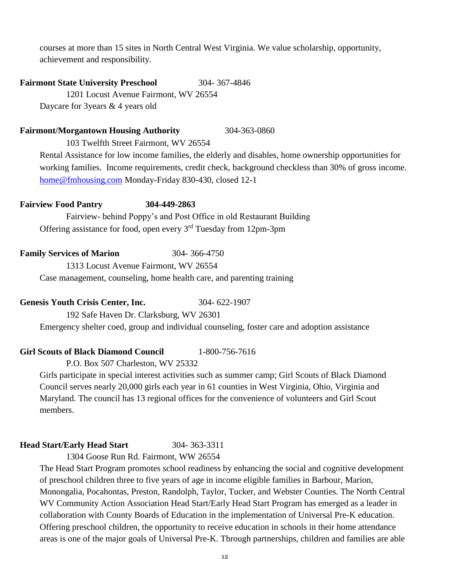courses at more than 15 sites in North Central West Virginia. We value scholarship, opportunity, achievement and responsibility.

#### **Fairmont State University Preschool** 304- 367-4846

1201 Locust Avenue Fairmont, WV 26554 Daycare for 3years & 4 years old

#### **Fairmont/Morgantown Housing Authority** 304-363-0860

103 Twelfth Street Fairmont, WV 26554

Rental Assistance for low income families, the elderly and disables, home ownership opportunities for working families. Income requirements, credit check, background checkless than 30% of gross income. [home@fmhousing.com](mailto:home@fmhousing.com) Monday-Friday 830-430, closed 12-1

#### **Fairview Food Pantry 304-449-2863**

Fairview- behind Poppy's and Post Office in old Restaurant Building Offering assistance for food, open every  $3<sup>rd</sup>$  Tuesday from 12pm-3pm

#### **Family Services of Marion** 304- 366-4750

1313 Locust Avenue Fairmont, WV 26554

Case management, counseling, home health care, and parenting training

#### **Genesis Youth Crisis Center, Inc.** 304- 622-1907

192 Safe Haven Dr. Clarksburg, WV 26301

Emergency shelter coed, group and individual counseling, foster care and adoption assistance

#### **Girl Scouts of Black Diamond Council** 1-800-756-7616

P.O. Box 507 Charleston, WV 25332

Girls participate in special interest activities such as summer camp; Girl Scouts of Black Diamond Council serves nearly 20,000 girls each year in 61 counties in West Virginia, Ohio, Virginia and Maryland. The council has 13 regional offices for the convenience of volunteers and Girl Scout members.

#### **Head Start/Early Head Start** 304-363-3311

1304 Goose Run Rd. Fairmont, WW 26554

The Head Start Program promotes school readiness by enhancing the social and cognitive development of preschool children three to five years of age in income eligible families in Barbour, Marion, Monongalia, Pocahontas, Preston, Randolph, Taylor, Tucker, and Webster Counties. The North Central WV Community Action Association Head Start/Early Head Start Program has emerged as a leader in collaboration with County Boards of Education in the implementation of Universal Pre-K education. Offering preschool children, the opportunity to receive education in schools in their home attendance areas is one of the major goals of Universal Pre-K. Through partnerships, children and families are able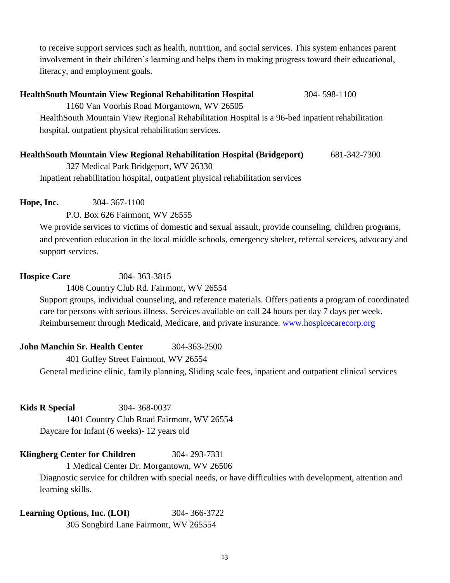to receive support services such as health, nutrition, and social services. This system enhances parent involvement in their children's learning and helps them in making progress toward their educational, literacy, and employment goals.

#### **HealthSouth Mountain View Regional Rehabilitation Hospital** 304- 598-1100

1160 Van Voorhis Road Morgantown, WV 26505

HealthSouth Mountain View Regional Rehabilitation Hospital is a 96-bed inpatient rehabilitation hospital, outpatient physical rehabilitation services.

#### **HealthSouth Mountain View Regional Rehabilitation Hospital (Bridgeport)** 681-342-7300

327 Medical Park Bridgeport, WV 26330

Inpatient rehabilitation hospital, outpatient physical rehabilitation services

#### **Hope, Inc.** 304- 367-1100

P.O. Box 626 Fairmont, WV 26555

We provide services to victims of domestic and sexual assault, provide counseling, children programs, and prevention education in the local middle schools, emergency shelter, referral services, advocacy and support services.

#### **Hospice Care** 304- 363-3815

1406 Country Club Rd. Fairmont, WV 26554

Support groups, individual counseling, and reference materials. Offers patients a program of coordinated care for persons with serious illness. Services available on call 24 hours per day 7 days per week. Reimbursement through Medicaid, Medicare, and private insurance. [www.hospicecarecorp.org](http://www.hospicecarecorp.org/)

#### **John Manchin Sr. Health Center** 304-363-2500

401 Guffey Street Fairmont, WV 26554 General medicine clinic, family planning, Sliding scale fees, inpatient and outpatient clinical services

**Kids R Special** 304-368-0037 1401 Country Club Road Fairmont, WV 26554 Daycare for Infant (6 weeks)- 12 years old

#### **Klingberg Center for Children** 304- 293-7331

1 Medical Center Dr. Morgantown, WV 26506

Diagnostic service for children with special needs, or have difficulties with development, attention and learning skills.

#### **Learning Options, Inc. (LOI)** 304- 366-3722

305 Songbird Lane Fairmont, WV 265554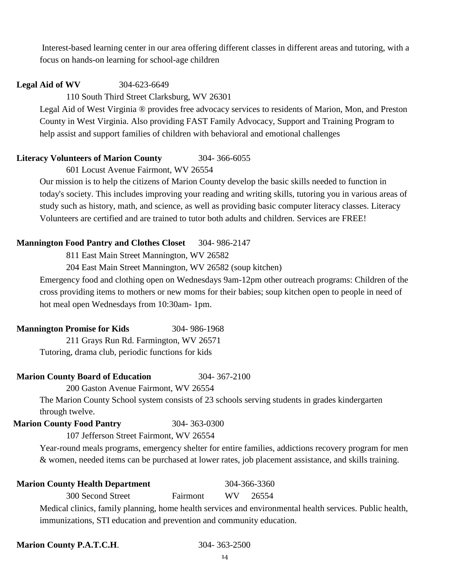Interest-based learning center in our area offering different classes in different areas and tutoring, with a focus on hands-on learning for school-age children

#### **Legal Aid of WV** 304-623-6649

110 South Third Street Clarksburg, WV 26301

Legal Aid of West Virginia ® provides free advocacy services to residents of Marion, Mon, and Preston County in West Virginia. Also providing FAST Family Advocacy, Support and Training Program to help assist and support families of children with behavioral and emotional challenges

#### **Literacy Volunteers of Marion County** 304- 366-6055

601 Locust Avenue Fairmont, WV 26554

Our mission is to help the citizens of Marion County develop the basic skills needed to function in today's society. This includes improving your reading and writing skills, tutoring you in various areas of study such as history, math, and science, as well as providing basic computer literacy classes. Literacy Volunteers are certified and are trained to tutor both adults and children. Services are FREE!

#### **Mannington Food Pantry and Clothes Closet** 304-986-2147

811 East Main Street Mannington, WV 26582

204 East Main Street Mannington, WV 26582 (soup kitchen)

Emergency food and clothing open on Wednesdays 9am-12pm other outreach programs: Children of the cross providing items to mothers or new moms for their babies; soup kitchen open to people in need of hot meal open Wednesdays from 10:30am- 1pm.

#### **Mannington Promise for Kids** 304-986-1968

211 Grays Run Rd. Farmington, WV 26571 Tutoring, drama club, periodic functions for kids

#### **Marion County Board of Education** 304- 367-2100

200 Gaston Avenue Fairmont, WV 26554

The Marion County School system consists of 23 schools serving students in grades kindergarten through twelve.

**Marion County Food Pantry** 304- 363-0300

107 Jefferson Street Fairmont, WV 26554

Year-round meals programs, emergency shelter for entire families, addictions recovery program for men & women, needed items can be purchased at lower rates, job placement assistance, and skills training.

| <b>Marion County Health Department</b> | 304-366-3360 |
|----------------------------------------|--------------|
|----------------------------------------|--------------|

300 Second Street Fairmont WV 26554

Medical clinics, family planning, home health services and environmental health services. Public health, immunizations, STI education and prevention and community education.

**Marion County P.A.T.C.H.** 304- 363-2500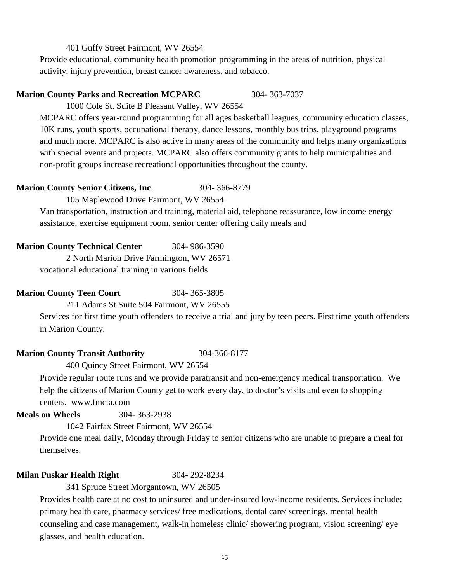#### 401 Guffy Street Fairmont, WV 26554

Provide educational, community health promotion programming in the areas of nutrition, physical activity, injury prevention, breast cancer awareness, and tobacco.

#### **Marion County Parks and Recreation MCPARC** 304- 363-7037

1000 Cole St. Suite B Pleasant Valley, WV 26554

MCPARC offers year-round programming for all ages basketball leagues, community education classes, 10K runs, youth sports, occupational therapy, dance lessons, monthly bus trips, playground programs and much more. MCPARC is also active in many areas of the community and helps many organizations with special events and projects. MCPARC also offers community grants to help municipalities and non-profit groups increase recreational opportunities throughout the county.

#### **Marion County Senior Citizens, Inc.** 304-366-8779

105 Maplewood Drive Fairmont, WV 26554

Van transportation, instruction and training, material aid, telephone reassurance, low income energy assistance, exercise equipment room, senior center offering daily meals and

#### **Marion County Technical Center** 304-986-3590

2 North Marion Drive Farmington, WV 26571 vocational educational training in various fields

#### **Marion County Teen Court** 304- 365-3805

211 Adams St Suite 504 Fairmont, WV 26555

Services for first time youth offenders to receive a trial and jury by teen peers. First time youth offenders in Marion County.

#### **Marion County Transit Authority** 304-366-8177

400 Quincy Street Fairmont, WV 26554

Provide regular route runs and we provide paratransit and non-emergency medical transportation. We help the citizens of Marion County get to work every day, to doctor's visits and even to shopping centers. www.fmcta.com

#### **Meals on Wheels** 304-363-2938

1042 Fairfax Street Fairmont, WV 26554

Provide one meal daily, Monday through Friday to senior citizens who are unable to prepare a meal for themselves.

#### **Milan Puskar Health Right** 304-292-8234

341 Spruce Street Morgantown, WV 26505

Provides health care at no cost to uninsured and under-insured low-income residents. Services include: primary health care, pharmacy services/ free medications, dental care/ screenings, mental health counseling and case management, walk-in homeless clinic/ showering program, vision screening/ eye glasses, and health education.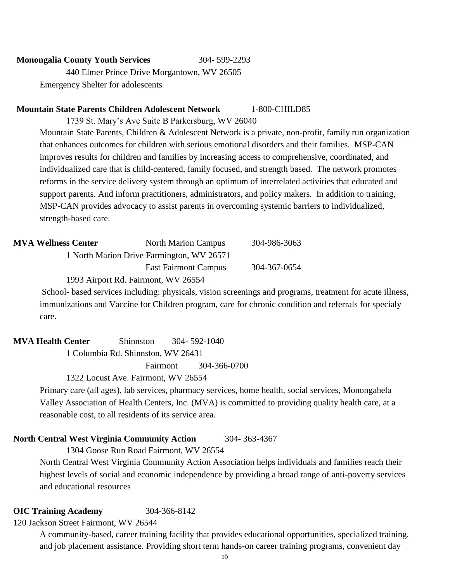#### **Monongalia County Youth Services** 304-599-2293

440 Elmer Prince Drive Morgantown, WV 26505 Emergency Shelter for adolescents

#### **Mountain State Parents Children Adolescent Network** 1-800-CHILD85

1739 St. Mary's Ave Suite B Parkersburg, WV 26040 Mountain State Parents, Children & Adolescent Network is a private, non-profit, family run organization that enhances outcomes for children with serious emotional disorders and their families. MSP-CAN improves results for children and families by increasing access to comprehensive, coordinated, and individualized care that is child-centered, family focused, and strength based. The network promotes reforms in the service delivery system through an optimum of interrelated activities that educated and support parents. And inform practitioners, administrators, and policy makers. In addition to training, MSP-CAN provides advocacy to assist parents in overcoming systemic barriers to individualized, strength-based care.

| <b>MVA Wellness Center</b> | <b>North Marion Campus</b>                | 304-986-3063 |
|----------------------------|-------------------------------------------|--------------|
|                            | 1 North Marion Drive Farmington, WV 26571 |              |
|                            | <b>East Fairmont Campus</b>               | 304-367-0654 |
|                            |                                           |              |

1993 Airport Rd. Fairmont, WV 26554

School- based services including: physicals, vision screenings and programs, treatment for acute illness, immunizations and Vaccine for Children program, care for chronic condition and referrals for specialy care.

#### **MVA Health Center** Shinnston 304-592-1040

1 Columbia Rd. Shinnston, WV 26431

Fairmont 304-366-0700

1322 Locust Ave. Fairmont, WV 26554

Primary care (all ages), lab services, pharmacy services, home health, social services, Monongahela Valley Association of Health Centers, Inc. (MVA) is committed to providing quality health care, at a reasonable cost, to all residents of its service area.

#### **North Central West Virginia Community Action** 304-363-4367

1304 Goose Run Road Fairmont, WV 26554

North Central West Virginia Community Action Association helps individuals and families reach their highest levels of social and economic independence by providing a broad range of anti-poverty services and educational resources

#### **OIC Training Academy** 304-366-8142

120 Jackson Street Fairmont, WV 26544

A community-based, career training facility that provides educational opportunities, specialized training, and job placement assistance. Providing short term hands-on career training programs, convenient day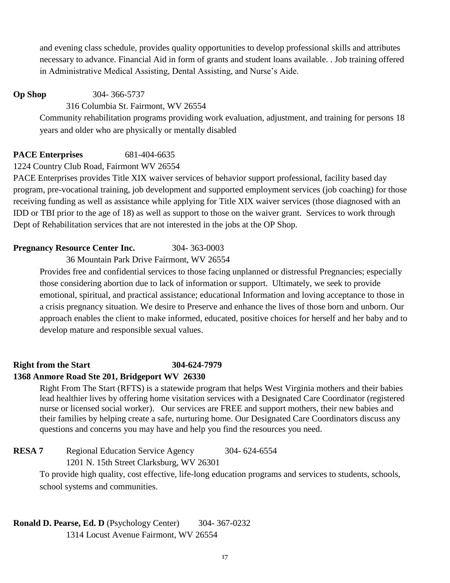and evening class schedule, provides quality opportunities to develop professional skills and attributes necessary to advance. Financial Aid in form of grants and student loans available. . Job training offered in Administrative Medical Assisting, Dental Assisting, and Nurse's Aide.

#### **Op Shop** 304- 366-5737

316 Columbia St. Fairmont, WV 26554

Community rehabilitation programs providing work evaluation, adjustment, and training for persons 18 years and older who are physically or mentally disabled

#### **PACE Enterprises** 681-404-6635

#### 1224 Country Club Road, Fairmont WV 26554

PACE Enterprises provides Title XIX waiver services of behavior support professional, facility based day program, pre-vocational training, job development and supported employment services (job coaching) for those receiving funding as well as assistance while applying for Title XIX waiver services (those diagnosed with an IDD or TBI prior to the age of 18) as well as support to those on the waiver grant. Services to work through Dept of Rehabilitation services that are not interested in the jobs at the OP Shop.

#### **Pregnancy Resource Center Inc.** 304-363-0003

#### 36 Mountain Park Drive Fairmont, WV 26554

Provides free and confidential services to those facing unplanned or distressful Pregnancies; especially those considering abortion due to lack of information or support. Ultimately, we seek to provide emotional, spiritual, and practical assistance; educational Information and loving acceptance to those in a crisis pregnancy situation. We desire to Preserve and enhance the lives of those born and unborn. Our approach enables the client to make informed, educated, positive choices for herself and her baby and to develop mature and responsible sexual values.

#### **Right from the Start 304-624-7979**

#### **1368 Anmore Road Ste 201, Bridgeport WV 26330**

Right From The Start (RFTS) is a statewide program that helps West Virginia mothers and their babies lead healthier lives by offering home visitation services with a Designated Care Coordinator (registered nurse or licensed social worker). Our services are FREE and support mothers, their new babies and their families by helping create a safe, nurturing home. Our Designated Care Coordinators discuss any questions and concerns you may have and help you find the resources you need.

**RESA 7** Regional Education Service Agency 304-624-6554 1201 N. 15th Street Clarksburg, WV 26301

> To provide high quality, cost effective, life-long education programs and services to students, schools, school systems and communities.

**Ronald D. Pearse, Ed. D** (Psychology Center) 304-367-0232 1314 Locust Avenue Fairmont, WV 26554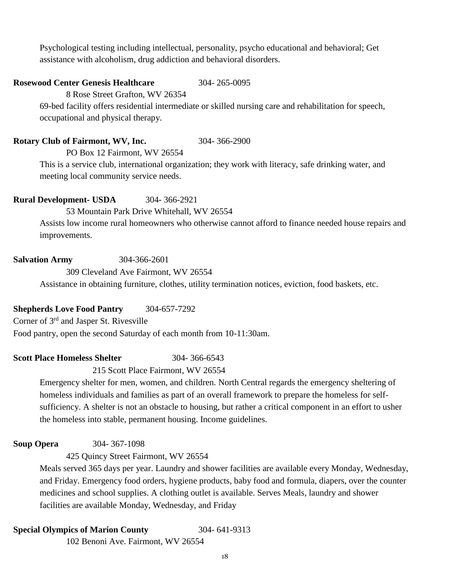Psychological testing including intellectual, personality, psycho educational and behavioral; Get assistance with alcoholism, drug addiction and behavioral disorders.

#### **Rosewood Center Genesis Healthcare** 304-265-0095

8 Rose Street Grafton, WV 26354

69-bed facility offers residential intermediate or skilled nursing care and rehabilitation for speech, occupational and physical therapy.

#### **Rotary Club of Fairmont, WV, Inc.** 304-366-2900

PO Box 12 Fairmont, WV 26554

This is a service club, international organization; they work with literacy, safe drinking water, and meeting local community service needs.

#### **Rural Development- USDA** 304-366-2921

#### 53 Mountain Park Drive Whitehall, WV 26554

Assists low income rural homeowners who otherwise cannot afford to finance needed house repairs and improvements.

#### **Salvation Army** 304-366-2601

309 Cleveland Ave Fairmont, WV 26554

Assistance in obtaining furniture, clothes, utility termination notices, eviction, food baskets, etc.

#### **Shepherds Love Food Pantry** 304-657-7292

Corner of 3rd and Jasper St. Rivesville

Food pantry, open the second Saturday of each month from 10-11:30am.

#### **Scott Place Homeless Shelter** 304- 366-6543

215 Scott Place Fairmont, WV 26554

Emergency shelter for men, women, and children. North Central regards the emergency sheltering of homeless individuals and families as part of an overall framework to prepare the homeless for selfsufficiency. A shelter is not an obstacle to housing, but rather a critical component in an effort to usher the homeless into stable, permanent housing. Income guidelines.

#### **Soup Opera** 304-367-1098

425 Quincy Street Fairmont, WV 26554

Meals served 365 days per year. Laundry and shower facilities are available every Monday, Wednesday, and Friday. Emergency food orders, hygiene products, baby food and formula, diapers, over the counter medicines and school supplies. A clothing outlet is available. Serves Meals, laundry and shower facilities are available Monday, Wednesday, and Friday

#### **Special Olympics of Marion County** 304-641-9313

102 Benoni Ave. Fairmont, WV 26554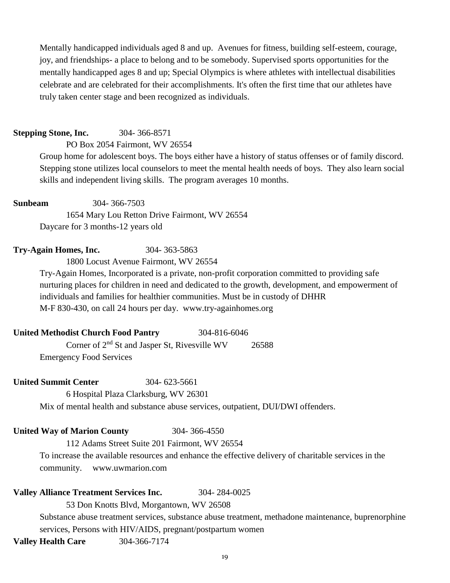Mentally handicapped individuals aged 8 and up. Avenues for fitness, building self-esteem, courage, joy, and friendships- a place to belong and to be somebody. Supervised sports opportunities for the mentally handicapped ages 8 and up; Special Olympics is where athletes with intellectual disabilities celebrate and are celebrated for their accomplishments. It's often the first time that our athletes have truly taken center stage and been recognized as individuals.

#### **Stepping Stone, Inc.** 304-366-8571

PO Box 2054 Fairmont, WV 26554

Group home for adolescent boys. The boys either have a history of status offenses or of family discord. Stepping stone utilizes local counselors to meet the mental health needs of boys. They also learn social skills and independent living skills. The program averages 10 months.

#### **Sunbeam** 304- 366-7503

1654 Mary Lou Retton Drive Fairmont, WV 26554 Daycare for 3 months-12 years old

#### **Try-Again Homes, Inc.** 304- 363-5863

1800 Locust Avenue Fairmont, WV 26554

Try-Again Homes, Incorporated is a private, non-profit corporation committed to providing safe nurturing places for children in need and dedicated to the growth, development, and empowerment of individuals and families for healthier communities. Must be in custody of DHHR M-F 830-430, on call 24 hours per day. www.try-againhomes.org

| <b>United Methodist Church Food Pantry</b> | 304-816-6046 |
|--------------------------------------------|--------------|
|--------------------------------------------|--------------|

Corner of  $2<sup>nd</sup>$  St and Jasper St, Rivesville WV 26588 Emergency Food Services

**United Summit Center** 304-623-5661

6 Hospital Plaza Clarksburg, WV 26301

Mix of mental health and substance abuse services, outpatient, DUI/DWI offenders.

#### **United Way of Marion County** 304-366-4550

112 Adams Street Suite 201 Fairmont, WV 26554

To increase the available resources and enhance the effective delivery of charitable services in the community. www.uwmarion.com

#### **Valley Alliance Treatment Services Inc.** 304-284-0025

53 Don Knotts Blvd, Morgantown, WV 26508

Substance abuse treatment services, substance abuse treatment, methadone maintenance, buprenorphine services, Persons with HIV/AIDS, pregnant/postpartum women

#### **Valley Health Care** 304-366-7174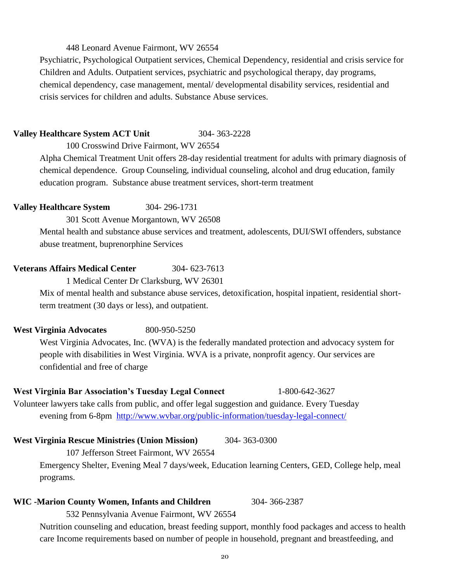#### 448 Leonard Avenue Fairmont, WV 26554

Psychiatric, Psychological Outpatient services, Chemical Dependency, residential and crisis service for Children and Adults. Outpatient services, psychiatric and psychological therapy, day programs, chemical dependency, case management, mental/ developmental disability services, residential and crisis services for children and adults. Substance Abuse services.

#### **Valley Healthcare System ACT Unit** 304-363-2228

100 Crosswind Drive Fairmont, WV 26554

Alpha Chemical Treatment Unit offers 28-day residential treatment for adults with primary diagnosis of chemical dependence. Group Counseling, individual counseling, alcohol and drug education, family education program. Substance abuse treatment services, short-term treatment

#### **Valley Healthcare System** 304-296-1731

301 Scott Avenue Morgantown, WV 26508

Mental health and substance abuse services and treatment, adolescents, DUI/SWI offenders, substance abuse treatment, buprenorphine Services

#### **Veterans Affairs Medical Center** 304-623-7613

1 Medical Center Dr Clarksburg, WV 26301

Mix of mental health and substance abuse services, detoxification, hospital inpatient, residential shortterm treatment (30 days or less), and outpatient.

#### **West Virginia Advocates** 800-950-5250

West Virginia Advocates, Inc. (WVA) is the federally mandated protection and advocacy system for people with disabilities in West Virginia. WVA is a private, nonprofit agency. Our services are confidential and free of charge

#### **West Virginia Bar Association's Tuesday Legal Connect** 1-800-642-3627

Volunteer lawyers take calls from public, and offer legal suggestion and guidance. Every Tuesday evening from 6-8pm <http://www.wvbar.org/public-information/tuesday-legal-connect/>

#### **West Virginia Rescue Ministries (Union Mission)** 304- 363-0300

107 Jefferson Street Fairmont, WV 26554

Emergency Shelter, Evening Meal 7 days/week, Education learning Centers, GED, College help, meal programs.

#### **WIC -Marion County Women, Infants and Children** 304- 366-2387

532 Pennsylvania Avenue Fairmont, WV 26554

Nutrition counseling and education, breast feeding support, monthly food packages and access to health care Income requirements based on number of people in household, pregnant and breastfeeding, and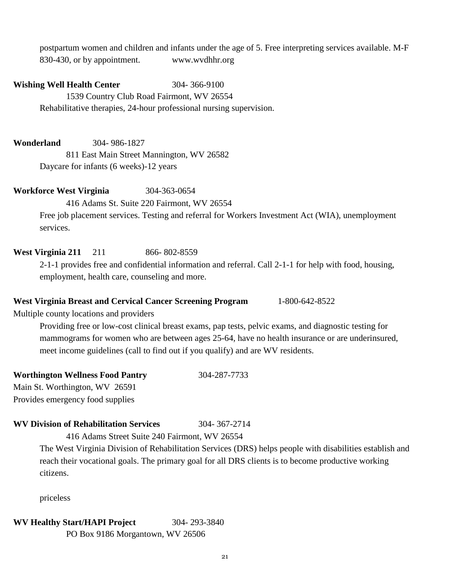postpartum women and children and infants under the age of 5. Free interpreting services available. M-F 830-430, or by appointment. www.wvdhhr.org

**Wishing Well Health Center** 304-366-9100

1539 Country Club Road Fairmont, WV 26554 Rehabilitative therapies, 24-hour professional nursing supervision.

**Wonderland** 304- 986-1827

811 East Main Street Mannington, WV 26582 Daycare for infants (6 weeks)-12 years

**Workforce West Virginia** 304-363-0654

416 Adams St. Suite 220 Fairmont, WV 26554

Free job placement services. Testing and referral for Workers Investment Act (WIA), unemployment services.

**West Virginia 211** 211 866-802-8559

2-1-1 provides free and confidential information and referral. Call 2-1-1 for help with food, housing, employment, health care, counseling and more.

#### **West Virginia Breast and Cervical Cancer Screening Program** 1-800-642-8522

Multiple county locations and providers

Providing free or low-cost clinical breast exams, pap tests, pelvic exams, and diagnostic testing for mammograms for women who are between ages 25-64, have no health insurance or are underinsured, meet income guidelines (call to find out if you qualify) and are WV residents.

| <b>Worthington Wellness Food Pantry</b>                                                                                                                                                                                                                                                                                                          | 304-287-7733 |
|--------------------------------------------------------------------------------------------------------------------------------------------------------------------------------------------------------------------------------------------------------------------------------------------------------------------------------------------------|--------------|
| <b>THE</b><br>$\mathbf{r}$ $\mathbf{r}$ $\mathbf{r}$ $\mathbf{r}$ $\mathbf{r}$ $\mathbf{r}$ $\mathbf{r}$ $\mathbf{r}$ $\mathbf{r}$ $\mathbf{r}$ $\mathbf{r}$ $\mathbf{r}$ $\mathbf{r}$ $\mathbf{r}$ $\mathbf{r}$ $\mathbf{r}$ $\mathbf{r}$ $\mathbf{r}$ $\mathbf{r}$ $\mathbf{r}$ $\mathbf{r}$ $\mathbf{r}$ $\mathbf{r}$ $\mathbf{r}$ $\mathbf{$ |              |

Main St. Worthington, WV 26591 Provides emergency food supplies

**WV Division of Rehabilitation Services** 304- 367-2714

416 Adams Street Suite 240 Fairmont, WV 26554

The West Virginia Division of Rehabilitation Services (DRS) helps people with disabilities establish and reach their vocational goals. The primary goal for all DRS clients is to become productive working citizens.

priceless

**WV Healthy Start/HAPI Project** 304- 293-3840 PO Box 9186 Morgantown, WV 26506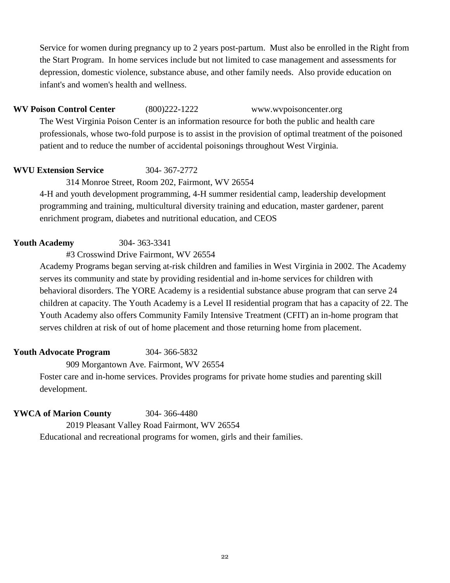Service for women during pregnancy up to 2 years post-partum. Must also be enrolled in the Right from the Start Program. In home services include but not limited to case management and assessments for depression, domestic violence, substance abuse, and other family needs. Also provide education on infant's and women's health and wellness.

**WV Poison Control Center** (800)222-1222 www.wvpoisoncenter.org The West Virginia Poison Center is an information resource for both the public and health care professionals, whose two-fold purpose is to assist in the provision of optimal treatment of the poisoned patient and to reduce the number of accidental poisonings throughout West Virginia.

#### **WVU Extension Service** 304-367-2772

314 Monroe Street, Room 202, Fairmont, WV 26554

4-H and youth development programming, 4-H summer residential camp, leadership development programming and training, multicultural diversity training and education, master gardener, parent enrichment program, diabetes and nutritional education, and CEOS

#### **Youth Academy** 304-363-3341

#3 Crosswind Drive Fairmont, WV 26554

Academy Programs began serving at-risk children and families in West Virginia in 2002. The Academy serves its community and state by providing residential and in-home services for children with behavioral disorders. The YORE Academy is a residential substance abuse program that can serve 24 children at capacity. The Youth Academy is a Level II residential program that has a capacity of 22. The Youth Academy also offers Community Family Intensive Treatment (CFIT) an in-home program that serves children at risk of out of home placement and those returning home from placement.

#### **Youth Advocate Program** 304-366-5832

909 Morgantown Ave. Fairmont, WV 26554

Foster care and in-home services. Provides programs for private home studies and parenting skill development.

#### **YWCA of Marion County** 304-366-4480

2019 Pleasant Valley Road Fairmont, WV 26554

Educational and recreational programs for women, girls and their families.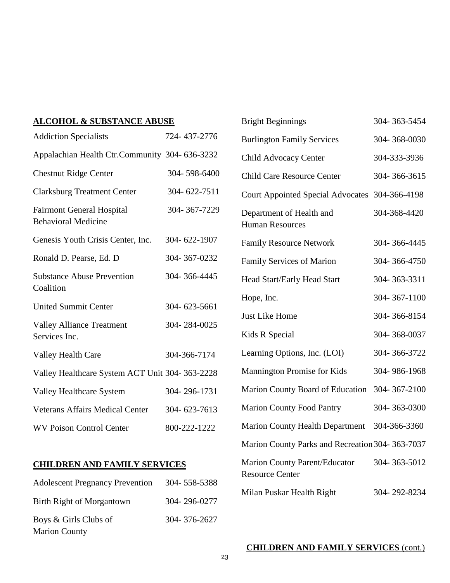#### **ALCOHOL & SUBSTANCE ABUSE**

| <b>Addiction Specialists</b>                                   | 724-437-2776 |
|----------------------------------------------------------------|--------------|
| Appalachian Health Ctr.Community 304- 636-3232                 |              |
| <b>Chestnut Ridge Center</b>                                   | 304-598-6400 |
| <b>Clarksburg Treatment Center</b>                             | 304-622-7511 |
| <b>Fairmont General Hospital</b><br><b>Behavioral Medicine</b> | 304-367-7229 |
| Genesis Youth Crisis Center, Inc.                              | 304-622-1907 |
| Ronald D. Pearse, Ed. D.                                       | 304-367-0232 |
| <b>Substance Abuse Prevention</b><br>Coalition                 | 304-366-4445 |
| <b>United Summit Center</b>                                    | 304-623-5661 |
| <b>Valley Alliance Treatment</b><br>Services Inc.              | 304-284-0025 |
| <b>Valley Health Care</b>                                      | 304-366-7174 |
| Valley Healthcare System ACT Unit 304-363-2228                 |              |
| <b>Valley Healthcare System</b>                                | 304-296-1731 |
| <b>Veterans Affairs Medical Center</b>                         | 304-623-7613 |
| <b>WV Poison Control Center</b>                                | 800-222-1222 |

#### **CHILDREN AND FAMILY SERVICES**

| <b>Adolescent Pregnancy Prevention</b> | 304-558-5388 |
|----------------------------------------|--------------|
| Birth Right of Morgantown              | 304-296-0277 |
| Boys & Girls Clubs of                  | 304-376-2627 |
| <b>Marion County</b>                   |              |

| <b>Bright Beginnings</b>                                       | 304-363-5454 |
|----------------------------------------------------------------|--------------|
| <b>Burlington Family Services</b>                              | 304-368-0030 |
| <b>Child Advocacy Center</b>                                   | 304-333-3936 |
| <b>Child Care Resource Center</b>                              | 304-366-3615 |
| <b>Court Appointed Special Advocates</b>                       | 304-366-4198 |
| Department of Health and<br><b>Human Resources</b>             | 304-368-4420 |
| <b>Family Resource Network</b>                                 | 304-366-4445 |
| Family Services of Marion                                      | 304-366-4750 |
| Head Start/Early Head Start                                    | 304-363-3311 |
| Hope, Inc.                                                     | 304-367-1100 |
| <b>Just Like Home</b>                                          | 304-366-8154 |
| Kids R Special                                                 | 304-368-0037 |
| Learning Options, Inc. (LOI)                                   | 304-366-3722 |
| <b>Mannington Promise for Kids</b>                             | 304-986-1968 |
| Marion County Board of Education                               | 304-367-2100 |
| <b>Marion County Food Pantry</b>                               | 304-363-0300 |
| <b>Marion County Health Department</b>                         | 304-366-3360 |
| Marion County Parks and Recreation 304-363-7037                |              |
| <b>Marion County Parent/Educator</b><br><b>Resource Center</b> | 304-363-5012 |
| Milan Puskar Health Right                                      | 304-292-8234 |

#### **CHILDREN AND FAMILY SERVICES** (cont.)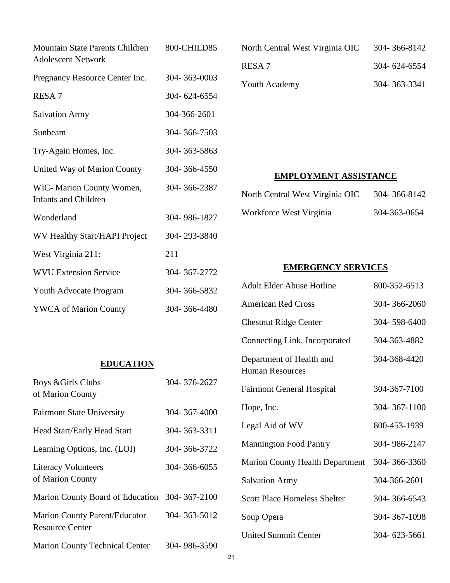| Mountain State Parents Children<br><b>Adolescent Network</b>    | 800-CHILD85  | North Central West Virginia OIC             | 304-366-8142 |
|-----------------------------------------------------------------|--------------|---------------------------------------------|--------------|
| Pregnancy Resource Center Inc.                                  | 304-363-0003 | <b>RESA7</b>                                | 304-624-6554 |
| <b>RESA7</b>                                                    | 304-624-6554 | Youth Academy                               | 304-363-3341 |
|                                                                 |              |                                             |              |
| <b>Salvation Army</b>                                           | 304-366-2601 |                                             |              |
| Sunbeam                                                         | 304-366-7503 |                                             |              |
| Try-Again Homes, Inc.                                           | 304-363-5863 |                                             |              |
| United Way of Marion County                                     | 304-366-4550 | <b>EMPLOYMENT ASSISTANCE</b>                |              |
| WIC- Marion County Women,<br><b>Infants and Children</b>        | 304-366-2387 | North Central West Virginia OIC             | 304-366-8142 |
| Wonderland                                                      | 304-986-1827 | Workforce West Virginia                     | 304-363-0654 |
| WV Healthy Start/HAPI Project                                   | 304-293-3840 |                                             |              |
| West Virginia 211:                                              | 211          |                                             |              |
| <b>WVU Extension Service</b>                                    | 304-367-2772 | <b>EMERGENCY SERVICES</b>                   |              |
| Youth Advocate Program                                          | 304-366-5832 | <b>Adult Elder Abuse Hotline</b>            | 800-352-6513 |
| <b>YWCA</b> of Marion County                                    | 304-366-4480 | <b>American Red Cross</b>                   | 304-366-2060 |
|                                                                 |              | <b>Chestnut Ridge Center</b>                | 304-598-6400 |
|                                                                 |              | Connecting Link, Incorporated               | 304-363-4882 |
| <b>EDUCATION</b>                                                |              | Department of Health and<br>Human Resources | 304-368-4420 |
| Boys & Girls Clubs<br>of Marion County                          | 304-376-2627 | <b>Fairmont General Hospital</b>            | 304-367-7100 |
| <b>Fairmont State University</b>                                | 304-367-4000 | Hope, Inc.                                  | 304-367-1100 |
| Head Start/Early Head Start                                     | 304-363-3311 | Legal Aid of WV                             | 800-453-1939 |
| Learning Options, Inc. (LOI)                                    | 304-366-3722 | <b>Mannington Food Pantry</b>               | 304-986-2147 |
| <b>Literacy Volunteers</b>                                      | 304-366-6055 | <b>Marion County Health Department</b>      | 304-366-3360 |
| of Marion County                                                |              | <b>Salvation Army</b>                       | 304-366-2601 |
| Marion County Board of Education                                | 304-367-2100 | <b>Scott Place Homeless Shelter</b>         | 304-366-6543 |
| Marion County Parent/Educator                                   | 304-363-5012 | Soup Opera                                  | 304-367-1098 |
| <b>Resource Center</b><br><b>Marion County Technical Center</b> | 304-986-3590 | <b>United Summit Center</b>                 | 304-623-5661 |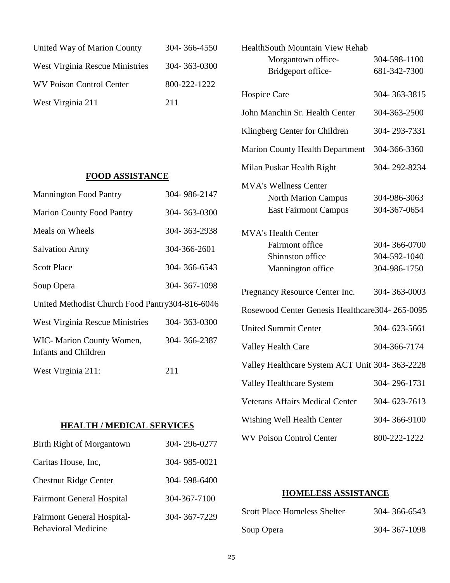| United Way of Marion County     | 304-366-4550 | Health South Mountain View Rehab |              |
|---------------------------------|--------------|----------------------------------|--------------|
|                                 |              | Morgantown office-               | 304-598-1100 |
| West Virginia Rescue Ministries | 304-363-0300 | Bridgeport office-               | 681-342-7300 |
| <b>WV Poison Control Center</b> | 800-222-1222 |                                  |              |
| West Virginia 211               | 211          | Hospice Care                     | 304-363-381  |
|                                 |              | John Manchin Sr. Health Center   | 304-363-2500 |

#### **FOOD ASSISTANCE**

| <b>Mannington Food Pantry</b>                            | 304-986-2147 |
|----------------------------------------------------------|--------------|
| <b>Marion County Food Pantry</b>                         | 304-363-0300 |
| Meals on Wheels                                          | 304-363-2938 |
| <b>Salvation Army</b>                                    | 304-366-2601 |
| <b>Scott Place</b>                                       | 304-366-6543 |
| Soup Opera                                               | 304-367-1098 |
| United Methodist Church Food Pantry304-816-6046          |              |
| West Virginia Rescue Ministries                          | 304-363-0300 |
| WIC- Marion County Women,<br><b>Infants and Children</b> | 304-366-2387 |
| West Virginia 211:                                       | 211          |

#### **HEALTH / MEDICAL SERVICES**

| Birth Right of Morgantown                                | 304-296-0277 |
|----------------------------------------------------------|--------------|
| Caritas House, Inc.                                      | 304-985-0021 |
| <b>Chestnut Ridge Center</b>                             | 304-598-6400 |
| <b>Fairmont General Hospital</b>                         | 304-367-7100 |
| Fairmont General Hospital-<br><b>Behavioral Medicine</b> | 304-367-7229 |

| Morgantown office-<br>Bridgeport office-                                                      | 304-598-1100<br>681-342-7300                 |
|-----------------------------------------------------------------------------------------------|----------------------------------------------|
| Hospice Care                                                                                  | 304-363-3815                                 |
| John Manchin Sr. Health Center                                                                | 304-363-2500                                 |
| Klingberg Center for Children                                                                 | 304-293-7331                                 |
| <b>Marion County Health Department</b>                                                        | 304-366-3360                                 |
| Milan Puskar Health Right                                                                     | 304-292-8234                                 |
| <b>MVA's Wellness Center</b><br><b>North Marion Campus</b><br><b>East Fairmont Campus</b>     | 304-986-3063<br>304-367-0654                 |
| <b>MVA's Health Center</b><br><b>Fairmont</b> office<br>Shinnston office<br>Mannington office | 304-366-0700<br>304-592-1040<br>304-986-1750 |
| Pregnancy Resource Center Inc.                                                                | 304-363-0003                                 |
| Rosewood Center Genesis Healthcare304-265-0095                                                |                                              |
| <b>United Summit Center</b>                                                                   | 304-623-5661                                 |
| <b>Valley Health Care</b>                                                                     | 304-366-7174                                 |
| Valley Healthcare System ACT Unit 304-363-2228                                                |                                              |
| Valley Healthcare System                                                                      | 304-296-1731                                 |
| <b>Veterans Affairs Medical Center</b>                                                        | 304-623-7613                                 |
| Wishing Well Health Center                                                                    | 304-366-9100                                 |
| <b>WV Poison Control Center</b>                                                               | 800-222-1222                                 |

#### **HOMELESS ASSISTANCE**

| <b>Scott Place Homeless Shelter</b> | 304-366-6543 |
|-------------------------------------|--------------|
| Soup Opera                          | 304-367-1098 |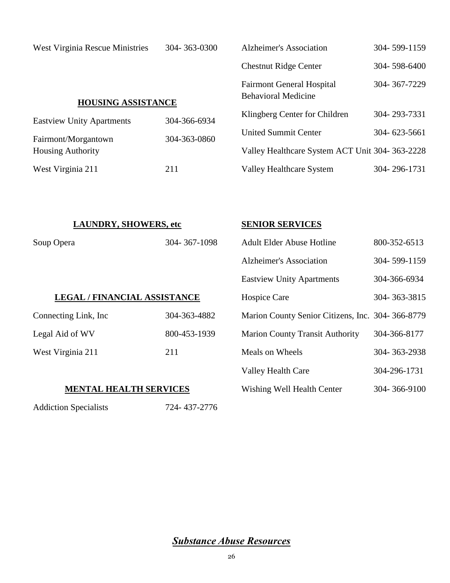| <b>West Virginia Rescue Ministries</b> | 304-363-0300 | <b>Alzheimer's Association</b>                                 | 304-599-1159 |
|----------------------------------------|--------------|----------------------------------------------------------------|--------------|
|                                        |              | <b>Chestnut Ridge Center</b>                                   | 304-598-6400 |
| <b>HOUSING ASSISTANCE</b>              |              | <b>Fairmont General Hospital</b><br><b>Behavioral Medicine</b> | 304-367-7229 |
| <b>Eastview Unity Apartments</b>       | 304-366-6934 | Klingberg Center for Children                                  | 304-293-7331 |
| Fairmont/Morgantown                    | 304-363-0860 | <b>United Summit Center</b>                                    | 304-623-5661 |
| <b>Housing Authority</b>               |              | Valley Healthcare System ACT Unit 304-363-2228                 |              |
| West Virginia 211                      | 211          | <b>Valley Healthcare System</b>                                | 304-296-1731 |

| <b>LAUNDRY, SHOWERS, etc</b>        |              | <b>SENIOR SERVICES</b>                           |              |
|-------------------------------------|--------------|--------------------------------------------------|--------------|
| Soup Opera                          | 304-367-1098 | <b>Adult Elder Abuse Hotline</b>                 | 800-352-6513 |
|                                     |              | <b>Alzheimer's Association</b>                   | 304-599-1159 |
|                                     |              | <b>Eastview Unity Apartments</b>                 | 304-366-6934 |
| <b>LEGAL / FINANCIAL ASSISTANCE</b> |              | Hospice Care                                     | 304-363-3815 |
| Connecting Link, Inc.               | 304-363-4882 | Marion County Senior Citizens, Inc. 304-366-8779 |              |
| Legal Aid of WV                     | 800-453-1939 | <b>Marion County Transit Authority</b>           | 304-366-8177 |
| West Virginia 211                   | 211          | Meals on Wheels                                  | 304-363-2938 |
|                                     |              | <b>Valley Health Care</b>                        | 304-296-1731 |
| <b>MENTAL HEALTH SERVICES</b>       |              | Wishing Well Health Center                       | 304-366-9100 |

#### **MENTAL HEALTH SERVICES**

Addiction Specialists 724- 437-2776

#### *Substance Abuse Resources*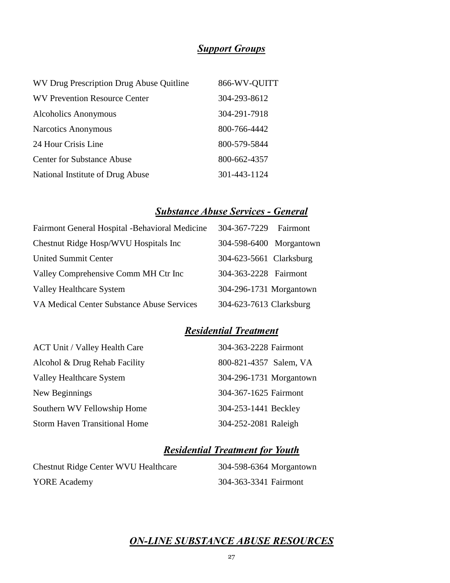#### *Support Groups*

| WV Drug Prescription Drug Abuse Quitline | 866-WV-QUITT |
|------------------------------------------|--------------|
| <b>WV Prevention Resource Center</b>     | 304-293-8612 |
| Alcoholics Anonymous                     | 304-291-7918 |
| <b>Narcotics Anonymous</b>               | 800-766-4442 |
| 24 Hour Crisis Line                      | 800-579-5844 |
| <b>Center for Substance Abuse</b>        | 800-662-4357 |
| National Institute of Drug Abuse         | 301-443-1124 |

#### *Substance Abuse Services - General*

| Fairmont General Hospital - Behavioral Medicine | 304-367-7229 Fairmont   |
|-------------------------------------------------|-------------------------|
| Chestnut Ridge Hosp/WVU Hospitals Inc           | 304-598-6400 Morgantown |
| <b>United Summit Center</b>                     | 304-623-5661 Clarksburg |
| Valley Comprehensive Comm MH Ctr Inc            | 304-363-2228 Fairmont   |
| <b>Valley Healthcare System</b>                 | 304-296-1731 Morgantown |
| VA Medical Center Substance Abuse Services      | 304-623-7613 Clarksburg |

#### *Residential Treatment*

| <b>ACT Unit / Valley Health Care</b> | 304-363-2228 Fairmont   |
|--------------------------------------|-------------------------|
| Alcohol & Drug Rehab Facility        | 800-821-4357 Salem, VA  |
| Valley Healthcare System             | 304-296-1731 Morgantown |
| New Beginnings                       | 304-367-1625 Fairmont   |
| Southern WV Fellowship Home          | 304-253-1441 Beckley    |
| <b>Storm Haven Transitional Home</b> | 304-252-2081 Raleigh    |

#### *Residential Treatment for Youth*

| <b>Chestnut Ridge Center WVU Healthcare</b> | 304-598-6364 Morgantown |
|---------------------------------------------|-------------------------|
| <b>YORE</b> Academy                         | 304-363-3341 Fairmont   |

#### *ON-LINE SUBSTANCE ABUSE RESOURCES*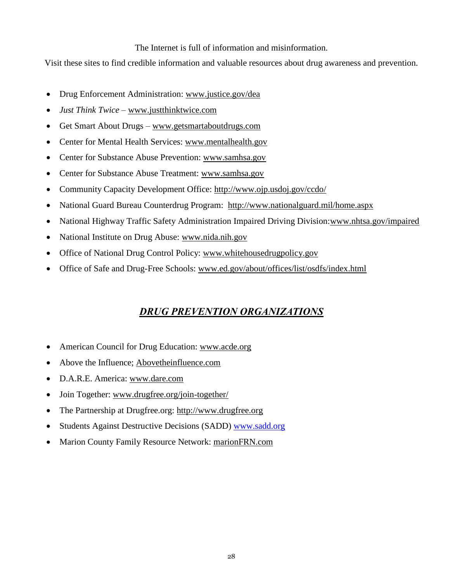#### The Internet is full of information and misinformation.

Visit these sites to find credible information and valuable resources about drug awareness and prevention.

- Drug Enforcement Administration: www.justice.gov/dea
- *Just Think Twice*  www.justthinktwice.com
- Get Smart About Drugs www.getsmartaboutdrugs.com
- Center for Mental Health Services: www.mentalhealth.gov
- Center for Substance Abuse Prevention: www.samhsa.gov
- Center for Substance Abuse Treatment: www.samhsa.gov
- Community Capacity Development Office: http://www.ojp.usdoj.gov/ccdo/
- National Guard Bureau Counterdrug Program: http://www.nationalguard.mil/home.aspx
- National Highway Traffic Safety Administration Impaired Driving Division:www.nhtsa.gov/impaired
- National Institute on Drug Abuse: www.nida.nih.gov
- Office of National Drug Control Policy: www.whitehousedrugpolicy.gov
- Office of Safe and Drug-Free Schools: www.ed.gov/about/offices/list/osdfs/index.html

#### *DRUG PREVENTION ORGANIZATIONS*

- American Council for Drug Education: www.acde.org
- Above the Influence; Abovetheinfluence.com
- D.A.R.E. America: www.dare.com
- Join Together: www.drugfree.org/join-together/
- The Partnership at Drugfree.org: http://www.drugfree.org
- Students Against Destructive Decisions (SADD) [www.sadd.org](http://www.sadd.org/)
- Marion County Family Resource Network: marionFRN.com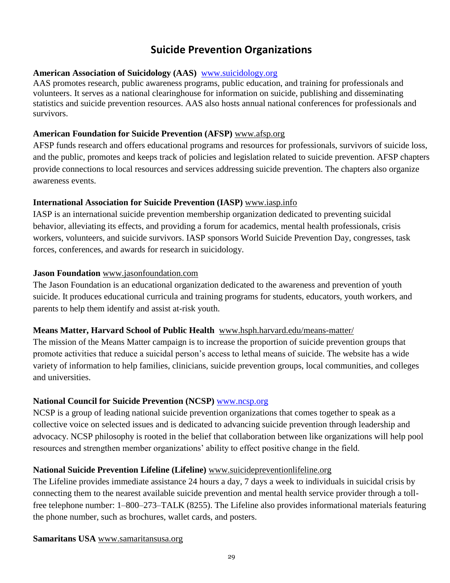### **Suicide Prevention Organizations**

#### **American Association of Suicidology (AAS)** [www.suicidology.org](http://www.suicidology.org/)

AAS promotes research, public awareness programs, public education, and training for professionals and volunteers. It serves as a national clearinghouse for information on suicide, publishing and disseminating statistics and suicide prevention resources. AAS also hosts annual national conferences for professionals and survivors.

#### **American Foundation for Suicide Prevention (AFSP)** www.afsp.org

AFSP funds research and offers educational programs and resources for professionals, survivors of suicide loss, and the public, promotes and keeps track of policies and legislation related to suicide prevention. AFSP chapters provide connections to local resources and services addressing suicide prevention. The chapters also organize awareness events.

#### **International Association for Suicide Prevention (IASP)** www.iasp.info

IASP is an international suicide prevention membership organization dedicated to preventing suicidal behavior, alleviating its effects, and providing a forum for academics, mental health professionals, crisis workers, volunteers, and suicide survivors. IASP sponsors World Suicide Prevention Day, congresses, task forces, conferences, and awards for research in suicidology.

#### **Jason Foundation** www.jasonfoundation.com

The Jason Foundation is an educational organization dedicated to the awareness and prevention of youth suicide. It produces educational curricula and training programs for students, educators, youth workers, and parents to help them identify and assist at-risk youth.

#### **Means Matter, Harvard School of Public Health** www.hsph.harvard.edu/means-matter/

The mission of the Means Matter campaign is to increase the proportion of suicide prevention groups that promote activities that reduce a suicidal person's access to lethal means of suicide. The website has a wide variety of information to help families, clinicians, suicide prevention groups, local communities, and colleges and universities.

#### **National Council for Suicide Prevention (NCSP)** [www.ncsp.org](http://www.ncsp.org/)

NCSP is a group of leading national suicide prevention organizations that comes together to speak as a collective voice on selected issues and is dedicated to advancing suicide prevention through leadership and advocacy. NCSP philosophy is rooted in the belief that collaboration between like organizations will help pool resources and strengthen member organizations' ability to effect positive change in the field.

#### **National Suicide Prevention Lifeline (Lifeline)** www.suicidepreventionlifeline.org

The Lifeline provides immediate assistance 24 hours a day, 7 days a week to individuals in suicidal crisis by connecting them to the nearest available suicide prevention and mental health service provider through a tollfree telephone number: 1–800–273–TALK (8255). The Lifeline also provides informational materials featuring the phone number, such as brochures, wallet cards, and posters.

#### **Samaritans USA** www.samaritansusa.org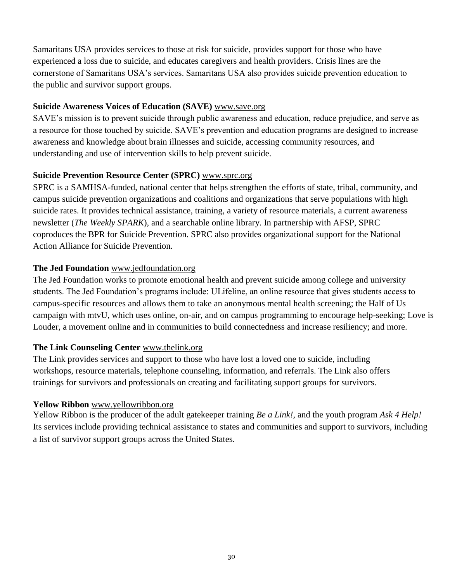Samaritans USA provides services to those at risk for suicide, provides support for those who have experienced a loss due to suicide, and educates caregivers and health providers. Crisis lines are the cornerstone of Samaritans USA's services. Samaritans USA also provides suicide prevention education to the public and survivor support groups.

#### **Suicide Awareness Voices of Education (SAVE)** www.save.org

SAVE's mission is to prevent suicide through public awareness and education, reduce prejudice, and serve as a resource for those touched by suicide. SAVE's prevention and education programs are designed to increase awareness and knowledge about brain illnesses and suicide, accessing community resources, and understanding and use of intervention skills to help prevent suicide.

#### **Suicide Prevention Resource Center (SPRC)** www.sprc.org

SPRC is a SAMHSA-funded, national center that helps strengthen the efforts of state, tribal, community, and campus suicide prevention organizations and coalitions and organizations that serve populations with high suicide rates. It provides technical assistance, training, a variety of resource materials, a current awareness newsletter (*The Weekly SPARK*), and a searchable online library. In partnership with AFSP, SPRC coproduces the BPR for Suicide Prevention. SPRC also provides organizational support for the National Action Alliance for Suicide Prevention.

#### **The Jed Foundation** www.jedfoundation.org

The Jed Foundation works to promote emotional health and prevent suicide among college and university students. The Jed Foundation's programs include: ULifeline, an online resource that gives students access to campus-specific resources and allows them to take an anonymous mental health screening; the Half of Us campaign with mtvU, which uses online, on-air, and on campus programming to encourage help-seeking; Love is Louder, a movement online and in communities to build connectedness and increase resiliency; and more.

#### **The Link Counseling Center** www.thelink.org

The Link provides services and support to those who have lost a loved one to suicide, including workshops, resource materials, telephone counseling, information, and referrals. The Link also offers trainings for survivors and professionals on creating and facilitating support groups for survivors.

#### **Yellow Ribbon** www.yellowribbon.org

Yellow Ribbon is the producer of the adult gatekeeper training *Be a Link!,* and the youth program *Ask 4 Help!*  Its services include providing technical assistance to states and communities and support to survivors, including a list of survivor support groups across the United States.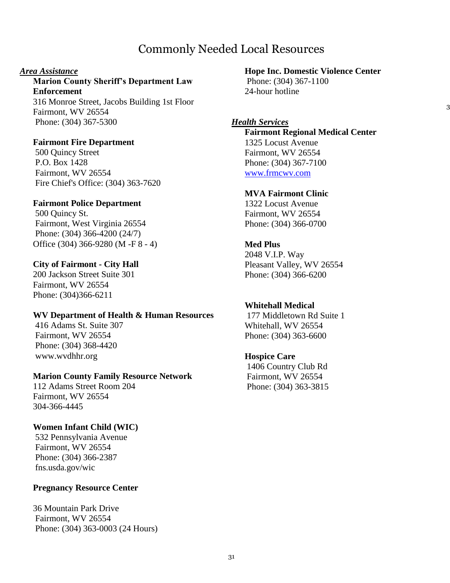### Commonly Needed Local Resources

#### *Area Assistance*

**Marion County Sheriff's Department Law Enforcement** 316 Monroe Street, Jacobs Building 1st Floor Fairmont, WV 26554 Phone: (304) 367-5300

#### **Fairmont Fire Department**

500 Quincy Street P.O. Box 1428 Fairmont, WV 26554 Fire Chief's Office: (304) 363-7620

#### **Fairmont Police Department**

500 Quincy St. Fairmont, West Virginia 26554 Phone: (304) 366-4200 (24/7) Office (304) 366-9280 (M -F 8 - 4)

#### **City of Fairmont - City Hall**

200 Jackson Street Suite 301 Fairmont, WV 26554 Phone: (304)366-6211

#### **WV Department of Health & Human Resources**

416 Adams St. Suite 307 Fairmont, WV 26554 Phone: (304) 368-4420 www.wvdhhr.org

#### **Marion County Family Resource Network**

112 Adams Street Room 204 Fairmont, WV 26554 304-366-4445

#### **Women Infant Child (WIC)**

532 Pennsylvania Avenue Fairmont, WV 26554 Phone: (304) 366-2387 fns.usda.gov/wic

#### **Pregnancy Resource Center**

36 Mountain Park Drive Fairmont, WV 26554 Phone: (304) 363-0003 (24 Hours)

#### **Hope Inc. Domestic Violence Center**

Phone: (304) 367-1100 24-hour hotline

#### *Health Services*

**Fairmont Regional Medical Center** 1325 Locust Avenue Fairmont, WV 26554 Phone: (304) 367-7100 [www.frmcwv.com](http://www.frmcwv.com/)

#### **MVA Fairmont Clinic**

1322 Locust Avenue Fairmont, WV 26554 Phone: (304) 366-0700

#### **Med Plus**

2048 V.I.P. Way Pleasant Valley, WV 26554 Phone: (304) 366-6200

#### **Whitehall Medical**

177 Middletown Rd Suite 1 Whitehall, WV 26554 Phone: (304) 363-6600

#### **Hospice Care**

1406 Country Club Rd Fairmont, WV 26554 Phone: (304) 363-3815